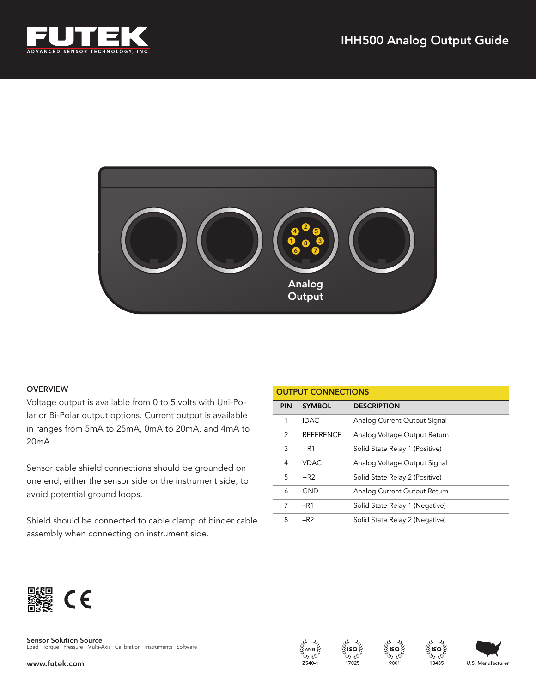



# OVERVIEW

Voltage output is available from 0 to 5 volts with Uni-Polar or Bi-Polar output options. Current output is available in ranges from 5mA to 25mA, 0mA to 20mA, and 4mA to 20mA.

Sensor cable shield connections should be grounded on one end, either the sensor side or the instrument side, to avoid potential ground loops.

Shield should be connected to cable clamp of binder cable assembly when connecting on instrument side.

| <b>OUTPUT CONNECTIONS</b> |                  |                                |
|---------------------------|------------------|--------------------------------|
| <b>PIN</b>                | <b>SYMBOL</b>    | <b>DESCRIPTION</b>             |
| 1                         | <b>IDAC</b>      | Analog Current Output Signal   |
| 2                         | <b>REFERENCE</b> | Analog Voltage Output Return   |
| 3                         | $+R1$            | Solid State Relay 1 (Positive) |
| 4                         | <b>VDAC</b>      | Analog Voltage Output Signal   |
| 5                         | $+R2$            | Solid State Relay 2 (Positive) |
| 6                         | GND              | Analog Current Output Return   |
| 7                         | $-R1$            | Solid State Relay 1 (Negative) |
| 8                         | $-R2$            | Solid State Relay 2 (Negative) |



**Sensor Solution Source**<br>Load · Torque · Pressure · Multi-Axis · Calibration · Instruments · Software

www.futek.com







13485

U.S. Manufacturer